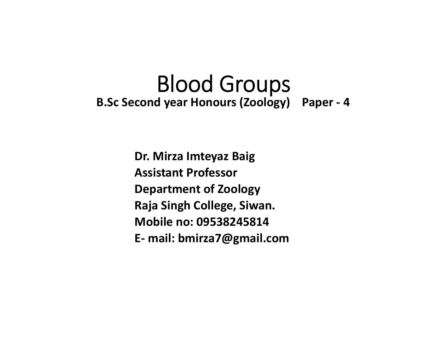# Blood Groups **B.Sc Second year Honours (Zoology) Paper ‐ 4**

**Dr. Mirza Imteyaz Baig Assistant ProfessorDepartment of Zoology Raja Singh College, Siwan. Mobile no: 09538245814E‐ mail: bmirza7@gmail.com**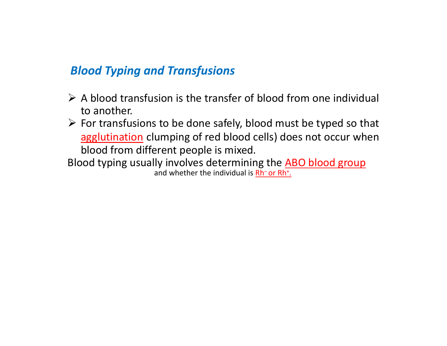#### *Blood Typing and Transfusions*

- $\triangleright$  A blood transfusion is the transfer of blood from one individual to another.
- $\triangleright$  For transfusions to be done safely, blood must be typed so that agglutination clumping of red blood cells) does not occur when blood from different people is mixed.
- Blood typing usually involves determining the ABO blood group and whether the individual is Rh  $\overline{\phantom{x}}$  or Rh $\overline{\phantom{x}}$  .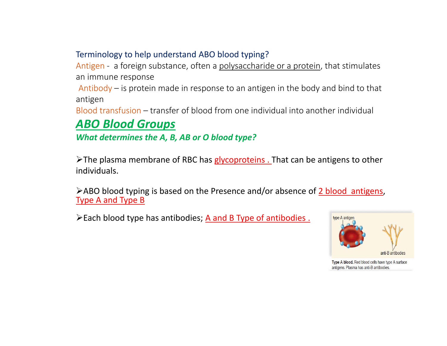#### Terminology to help understand ABO blood typing?

Antigen - a foreign substance, often a polysaccharide or a protein, that stimulates an immune response

Antibody – is protein made in response to an antigen in the body and bind to that antigen

Blood transfusion – transfer of blood from one individual into another individual

#### *ABO Blood Groups*

*What determines the A, B, AB or O blood type?*

 $\triangleright$ The plasma membrane of RBC has glycoproteins. That can be antigens to other individuals.

 $\triangleright$  ABO blood typing is based on the Presence and/or absence of 2 blood antigens, Type A and Type B

 $\triangleright$  Each blood type has antibodies; A and B Type of antibodies.



Type A blood. Red blood cells have type A surface antigens. Plasma has anti-B antibodies.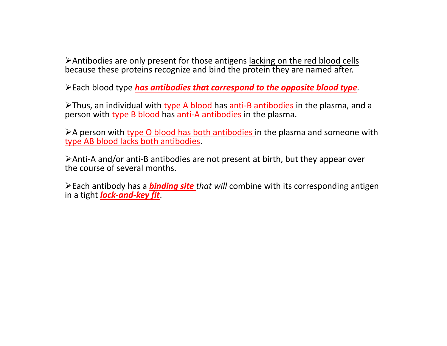Antibodies are only present for those antigens lacking on the red blood cells because these proteins recognize and bind the protein they are named after.

Each blood type *has antibodies that correspond to the opposite blood type.* 

Thus, an individual with type A blood has anti‐B antibodies in the plasma, and a person with type B blood has anti-A antibodies in the plasma.

 $\triangleright$  A person with type O blood has both antibodies in the plasma and someone with type AB blood lacks both antibodies.

Anti‐A and/or anti‐B antibodies are not present at birth, but they appear over the course of several months.

Each antibody has a *binding site that will* combine with its corresponding antigen in a tight *lock‐and‐key fit*.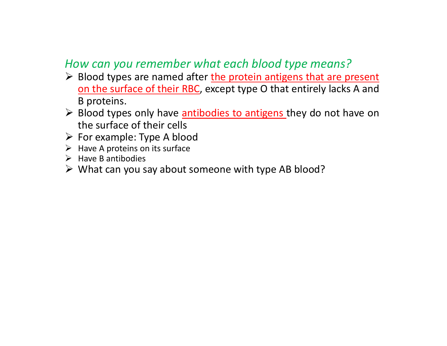## *How can you remember what each blood type means?*

- $\triangleright$  Blood types are named after the protein antigens that are present on the surface of their RBC, except type O that entirely lacks A and B proteins.
- $\triangleright$  Blood types only have **antibodies to antigens** they do not have on the surface of their cells
- $\triangleright$  For example: Type A blood
- $\triangleright$  Have A proteins on its surface
- $\triangleright$  Have B antibodies
- $\triangleright$  What can you say about someone with type AB blood?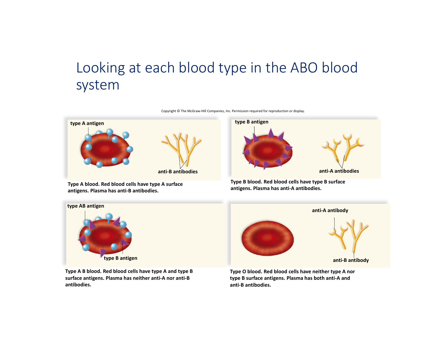## Looking at each blood type in the ABO blood system



Copyright © The McGraw‐Hill Companies, Inc. Permission required for reproduction or display.

**Type B blood. Red blood cells have type B surface antigens. Plasma has anti‐A antibodies.**

**anti‐A antibodies**



**surface antigens. Plasma has neither anti‐A nor anti‐B antibodies.**

**antigens. Plasma has anti‐B antibodies.**

**type B surface antigens. Plasma has both anti‐A and anti‐B antibodies.**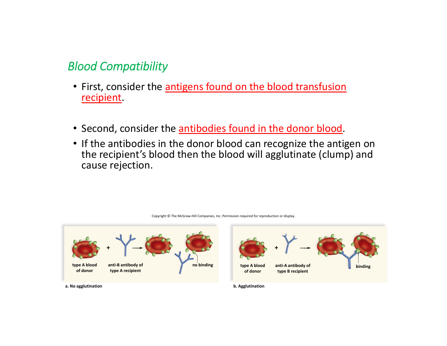### *Blood Compatibility*

- First, consider the antigens found on the blood transfusion recipient.
- Second, consider the <u>antibodies found in the donor blood</u>.
- If the antibodies in the donor blood can recognize the antigen on the recipient's blood then the blood will agglutinate (clump) and cause rejection.



Copyright © The McGraw‐Hill Companies, Inc. Permission required for reproduction or display.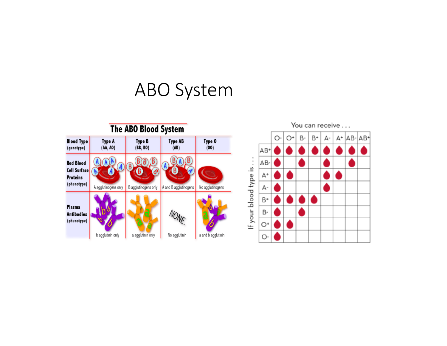# ABO System

| The ABO Blood System                                               |                           |                           |                        |                    |
|--------------------------------------------------------------------|---------------------------|---------------------------|------------------------|--------------------|
| <b>Blood Type</b><br>(genotype)                                    | <b>Type A</b><br>(AA, AO) | <b>Type B</b><br>(BB, BO) | <b>Type AB</b><br>(AB) | Type 0<br>(00)     |
| <b>Red Blood</b><br>Cell Surface<br><b>Proteins</b><br>(phenotype) | A agglutinogens only      | B agglutinogens only      | A and B agglutinogens  | No agglutinogens   |
| <b>Plasma</b><br><b>Antibodies</b><br>(phenotype)                  | b agglutinin only         | a agglutinin only         | NONE<br>No agglutinin  | a and b agglutinin |

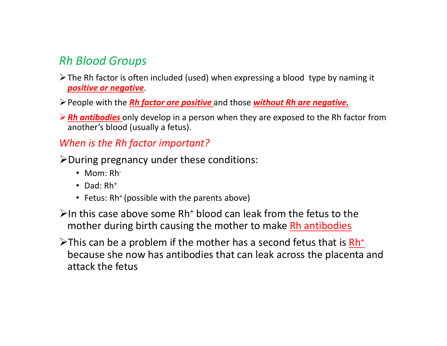## *Rh Blood Groups*

- $\triangleright$  The Rh factor is often included (used) when expressing a blood type by naming it *positive or negative*.
- People with the *Rh factor are positive* and those *without Rh are negative.*
- *Rh antibodies* only develop in a person when they are exposed to the Rh factor from another's blood (usually a fetus).

#### *When is the Rh factor important?*

- $\blacktriangleright$  During pregnancy under these conditions:
	- Mom: Rh<sup>-</sup>
	- Dad: Rh+
	- Fetus: Rh<sup>+</sup> (possible with the parents above)
- $\geq$ In this case above some Rh<sup>+</sup> blood can leak from the fetus to the mother during birth causing the mother to make Rh antibodies
- $\triangleright$ This can be a problem if the mother has a second fetus that is  $Rh^+$ because she now has antibodies that can leak across the placenta and attack the fetus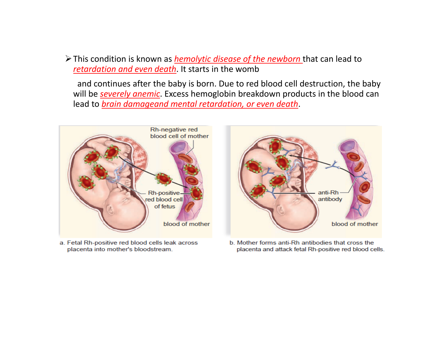This condition is known as *hemolytic disease of the newborn* that can lead to *retardation and even death*. It starts in the womb

and continues after the baby is born. Due to red blood cell destruction, the baby will be *severely anemic*. Excess hemoglobin breakdown products in the blood can lead to *brain damageand mental retardation, or even death*.



a. Fetal Rh-positive red blood cells leak across placenta into mother's bloodstream.

b. Mother forms anti-Rh antibodies that cross the placenta and attack fetal Rh-positive red blood cells.